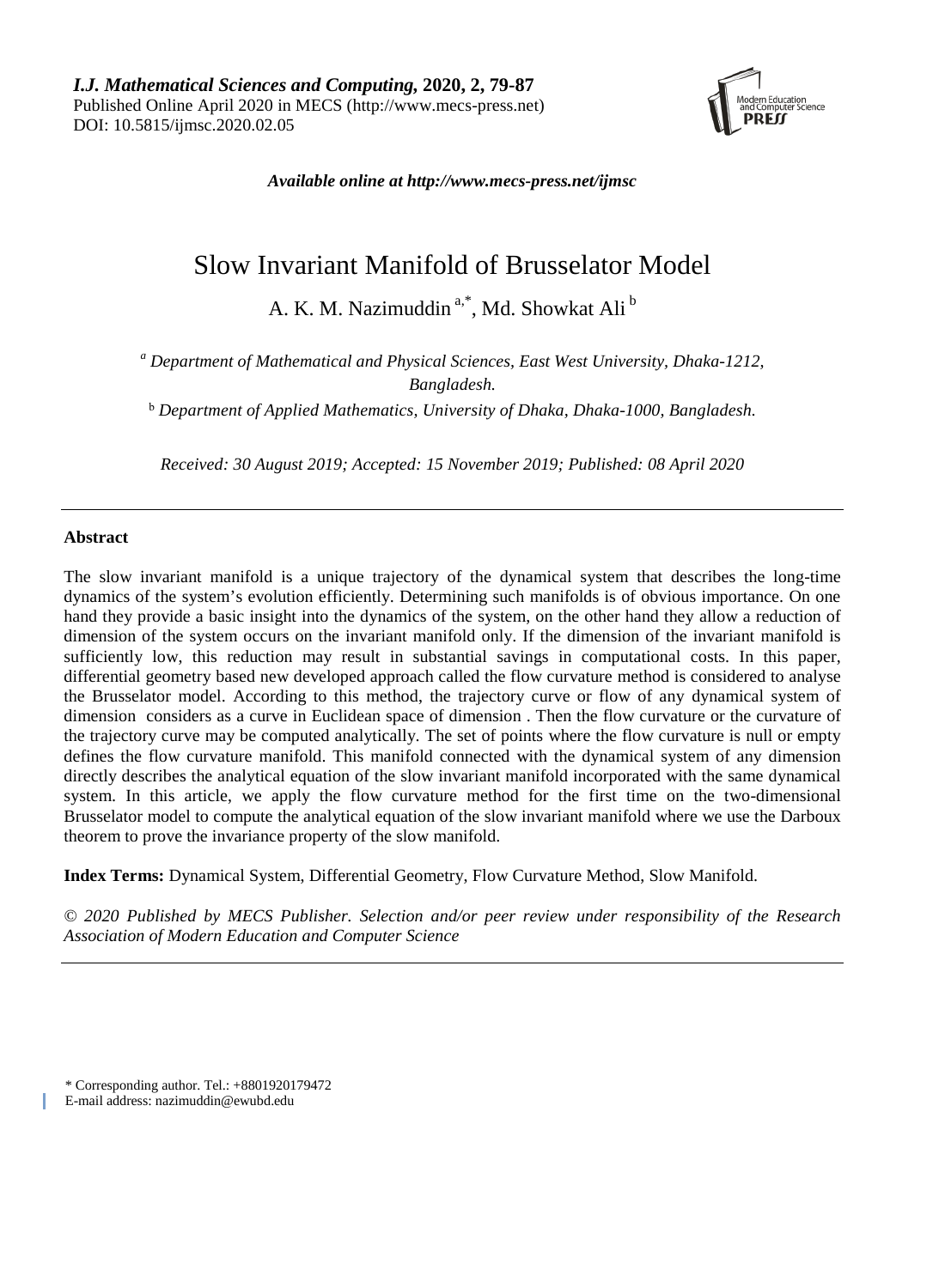

*Available online at [http://www.mecs-press.net/ijmsc](http://www.mecs-press.net/ijwmt)*

# Slow Invariant Manifold of Brusselator Model

A. K. M. Nazimuddin<sup>a,\*</sup>, Md. Showkat Ali<sup>b</sup>

*<sup>a</sup> Department of Mathematical and Physical Sciences, East West University, Dhaka-1212, Bangladesh.*

<sup>b</sup> *Department of Applied Mathematics, University of Dhaka, Dhaka-1000, Bangladesh.* 

*Received: 30 August 2019; Accepted: 15 November 2019; Published: 08 April 2020*

## **Abstract**

The slow invariant manifold is a unique trajectory of the dynamical system that describes the long-time dynamics of the system's evolution efficiently. Determining such manifolds is of obvious importance. On one hand they provide a basic insight into the dynamics of the system, on the other hand they allow a reduction of dimension of the system occurs on the invariant manifold only. If the dimension of the invariant manifold is sufficiently low, this reduction may result in substantial savings in computational costs. In this paper, differential geometry based new developed approach called the flow curvature method is considered to analyse the Brusselator model. According to this method, the trajectory curve or flow of any dynamical system of dimension considers as a curve in Euclidean space of dimension . Then the flow curvature or the curvature of the trajectory curve may be computed analytically. The set of points where the flow curvature is null or empty defines the flow curvature manifold. This manifold connected with the dynamical system of any dimension directly describes the analytical equation of the slow invariant manifold incorporated with the same dynamical system. In this article, we apply the flow curvature method for the first time on the two-dimensional Brusselator model to compute the analytical equation of the slow invariant manifold where we use the Darboux theorem to prove the invariance property of the slow manifold.

**Index Terms:** Dynamical System, Differential Geometry, Flow Curvature Method, Slow Manifold.

*© 2020 Published by MECS Publisher. Selection and/or peer review under responsibility of the Research Association of Modern Education and Computer Science*

\* Corresponding author. Tel.: +8801920179472

E-mail address: nazimuddin@ewubd.edu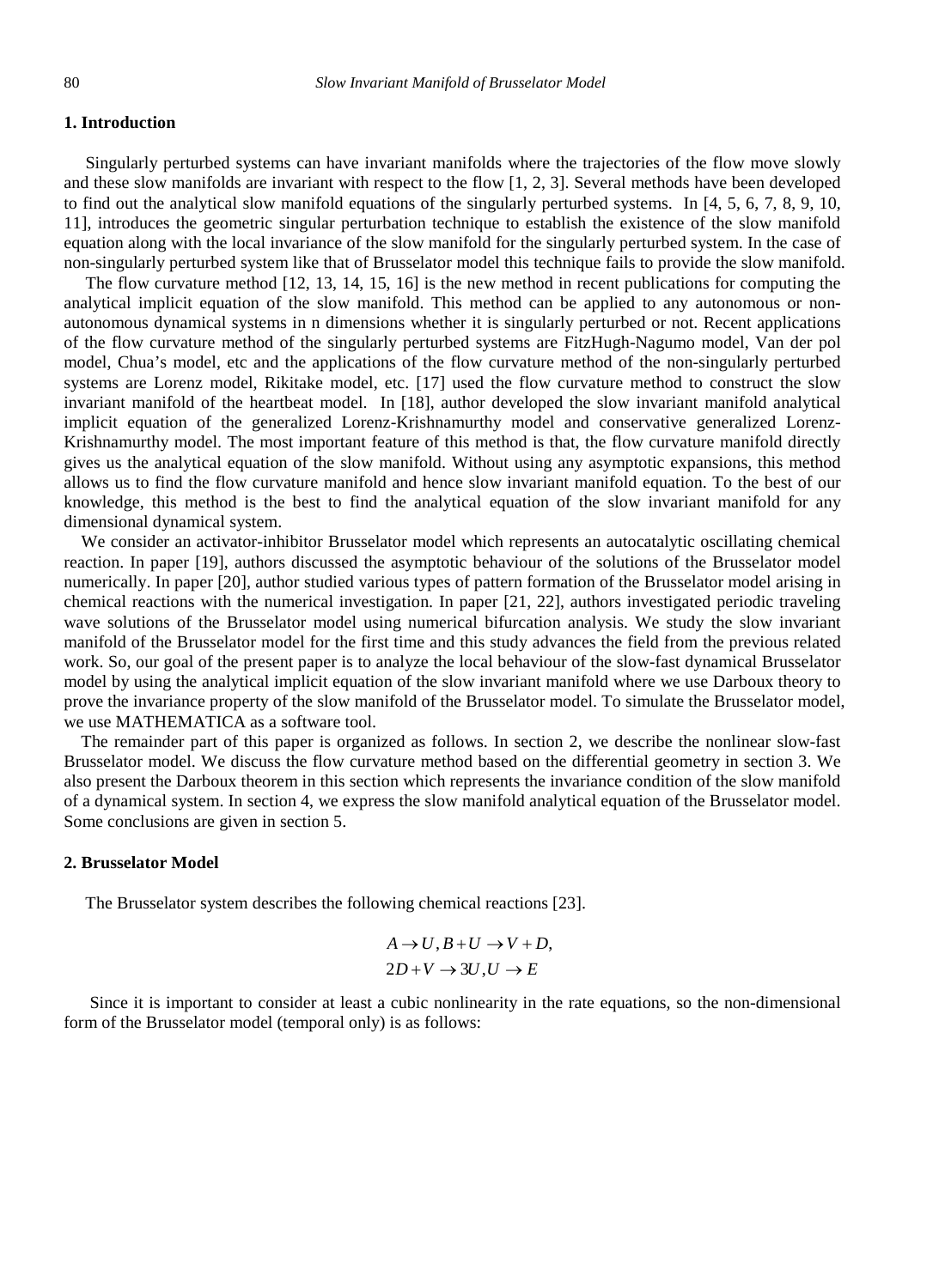## **1. Introduction**

Singularly perturbed systems can have invariant manifolds where the trajectories of the flow move slowly and these slow manifolds are invariant with respect to the flow [1, 2, 3]. Several methods have been developed to find out the analytical slow manifold equations of the singularly perturbed systems. In [4, 5, 6, 7, 8, 9, 10, 11], introduces the geometric singular perturbation technique to establish the existence of the slow manifold equation along with the local invariance of the slow manifold for the singularly perturbed system. In the case of non-singularly perturbed system like that of Brusselator model this technique fails to provide the slow manifold.

The flow curvature method [12, 13, 14, 15, 16] is the new method in recent publications for computing the analytical implicit equation of the slow manifold. This method can be applied to any autonomous or nonautonomous dynamical systems in n dimensions whether it is singularly perturbed or not. Recent applications of the flow curvature method of the singularly perturbed systems are FitzHugh-Nagumo model, Van der pol model, Chua's model, etc and the applications of the flow curvature method of the non-singularly perturbed systems are Lorenz model, Rikitake model, etc. [17] used the flow curvature method to construct the slow invariant manifold of the heartbeat model. In [18], author developed the slow invariant manifold analytical implicit equation of the generalized Lorenz-Krishnamurthy model and conservative generalized Lorenz-Krishnamurthy model. The most important feature of this method is that, the flow curvature manifold directly gives us the analytical equation of the slow manifold. Without using any asymptotic expansions, this method allows us to find the flow curvature manifold and hence slow invariant manifold equation. To the best of our knowledge, this method is the best to find the analytical equation of the slow invariant manifold for any dimensional dynamical system.

We consider an activator-inhibitor Brusselator model which represents an autocatalytic oscillating chemical reaction. In paper [19], authors discussed the asymptotic behaviour of the solutions of the Brusselator model numerically. In paper [20], author studied various types of pattern formation of the Brusselator model arising in chemical reactions with the numerical investigation. In paper [21, 22], authors investigated periodic traveling wave solutions of the Brusselator model using numerical bifurcation analysis. We study the slow invariant manifold of the Brusselator model for the first time and this study advances the field from the previous related work. So, our goal of the present paper is to analyze the local behaviour of the slow-fast dynamical Brusselator model by using the analytical implicit equation of the slow invariant manifold where we use Darboux theory to prove the invariance property of the slow manifold of the Brusselator model. To simulate the Brusselator model, we use MATHEMATICA as a software tool.

The remainder part of this paper is organized as follows. In section 2, we describe the nonlinear slow-fast Brusselator model. We discuss the flow curvature method based on the differential geometry in section 3. We also present the Darboux theorem in this section which represents the invariance condition of the slow manifold of a dynamical system. In section 4, we express the slow manifold analytical equation of the Brusselator model. Some conclusions are given in section 5.

#### **2. Brusselator Model**

The Brusselator system describes the following chemical reactions [23].

$$
A \to U, B + U \to V + D,
$$
  

$$
2D + V \to 3U, U \to E
$$

 Since it is important to consider at least a cubic nonlinearity in the rate equations, so the non-dimensional form of the Brusselator model (temporal only) is as follows: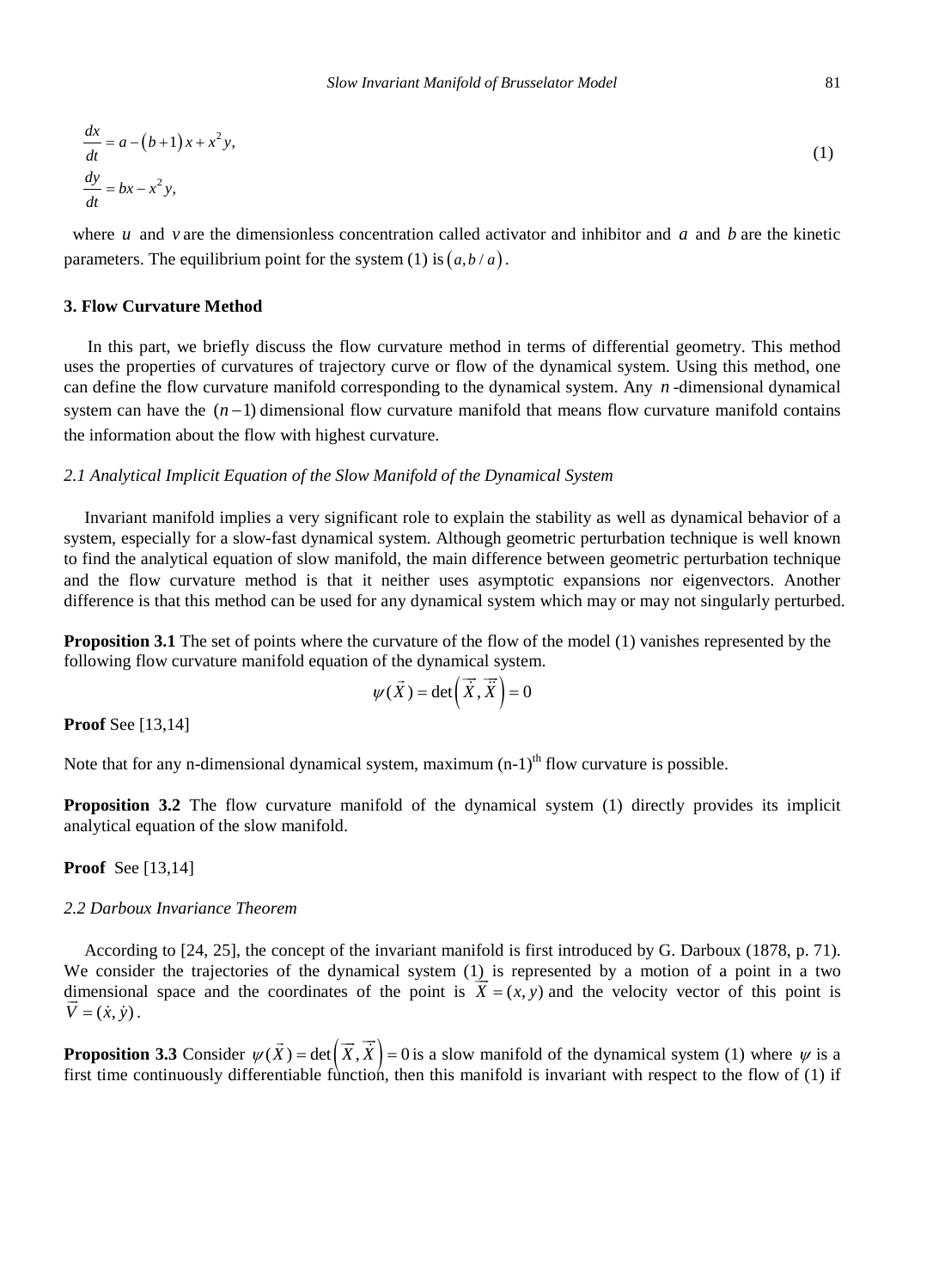$$
\frac{dx}{dt} = a - (b+1)x + x^2 y,
$$
  
\n
$$
\frac{dy}{dt} = bx - x^2 y,
$$
\n(1)

where *u* and *v* are the dimensionless concentration called activator and inhibitor and *a* and *b* are the kinetic parameters. The equilibrium point for the system (1) is  $(a, b/a)$ .

#### **3. Flow Curvature Method**

In this part, we briefly discuss the flow curvature method in terms of differential geometry. This method uses the properties of curvatures of trajectory curve or flow of the dynamical system. Using this method, one can define the flow curvature manifold corresponding to the dynamical system. Any *n* -dimensional dynamical system can have the  $(n-1)$  dimensional flow curvature manifold that means flow curvature manifold contains the information about the flow with highest curvature.

#### *2.1 Analytical Implicit Equation of the Slow Manifold of the Dynamical System*

Invariant manifold implies a very significant role to explain the stability as well as dynamical behavior of a system, especially for a slow-fast dynamical system. Although geometric perturbation technique is well known to find the analytical equation of slow manifold, the main difference between geometric perturbation technique and the flow curvature method is that it neither uses asymptotic expansions nor eigenvectors. Another difference is that this method can be used for any dynamical system which may or may not singularly perturbed.

**Proposition 3.1** The set of points where the curvature of the flow of the model (1) vanishes represented by the following flow curvature manifold equation of the dynamical system.

$$
\psi(\vec{X}) = \det\left(\vec{\overline{X}}, \vec{\overline{X}}\right) = 0
$$

**Proof** See [13,14]

Note that for any n-dimensional dynamical system, maximum  $(n-1)$ <sup>th</sup> flow curvature is possible.

**Proposition 3.2** The flow curvature manifold of the dynamical system (1) directly provides its implicit analytical equation of the slow manifold.

**Proof** See [13,14]

## *2.2 Darboux Invariance Theorem*

According to [24, 25], the concept of the invariant manifold is first introduced by G. Darboux (1878, p. 71). We consider the trajectories of the dynamical system (1) is represented by a motion of a point in a two dimensional space and the coordinates of the point is  $\overline{X} = (x, y)$  and the velocity vector of this point is  $\vec{V} = (\dot{x}, \dot{v})$ .

**Proposition 3.3** Consider  $\psi(\vec{X}) = \det(\vec{X}, \vec{X}) = 0$  is a slow manifold of the dynamical system (1) where  $\psi$  is a first time continuously differentiable function, then this manifold is invariant with respect to the flow of  $(1)$  if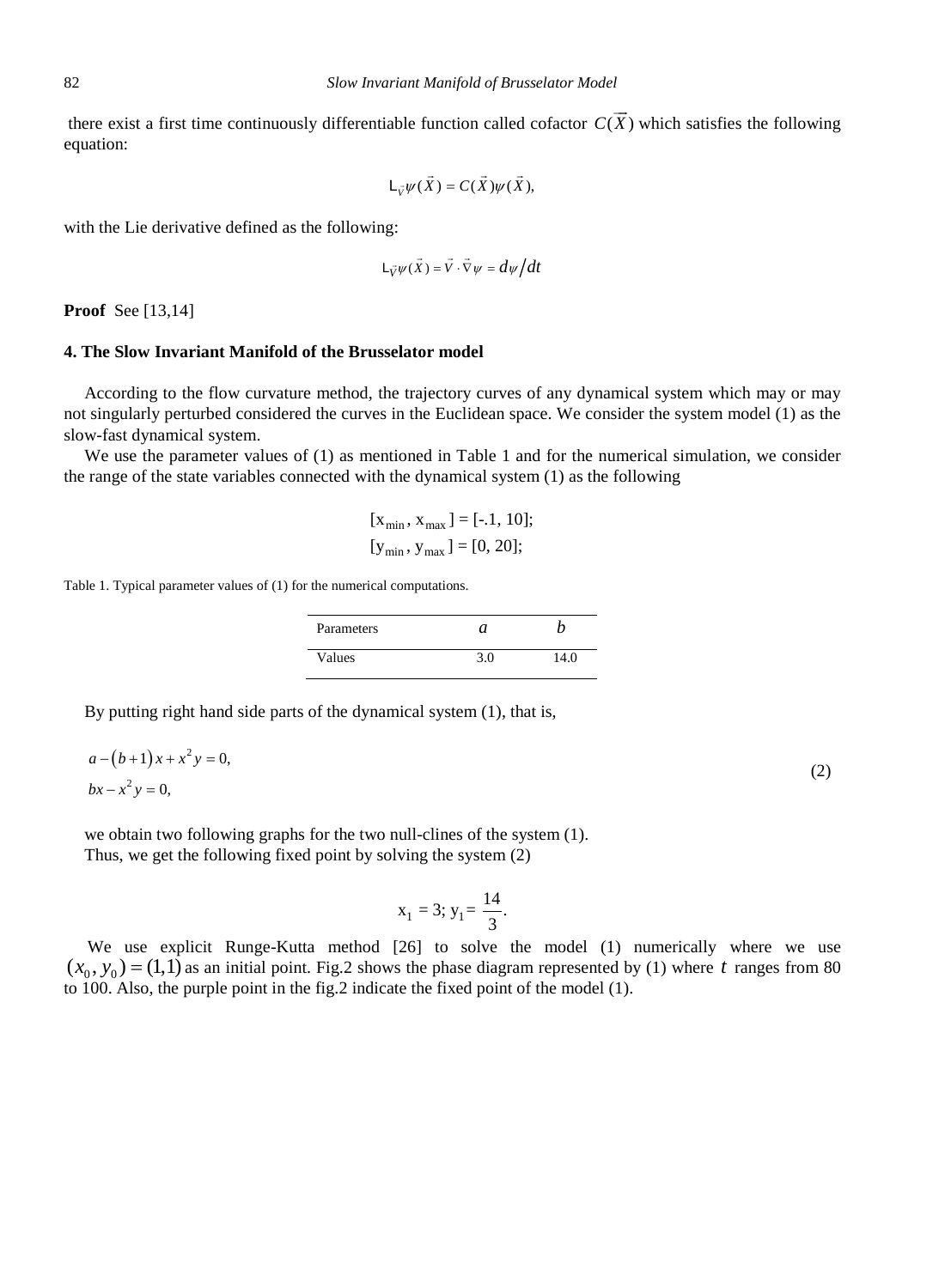there exist a first time continuously differentiable function called cofactor  $C(\overrightarrow{X})$  which satisfies the following equation:

$$
L_{\vec{v}}\psi(\vec{X})=C(\vec{X})\psi(\vec{X}),
$$

with the Lie derivative defined as the following:

$$
L_{\vec{V}}\psi(\vec{X}) = \vec{V} \cdot \vec{\nabla}\psi = d\psi/dt
$$

**Proof** See [13,14]

#### **4. The Slow Invariant Manifold of the Brusselator model**

According to the flow curvature method, the trajectory curves of any dynamical system which may or may not singularly perturbed considered the curves in the Euclidean space. We consider the system model (1) as the slow-fast dynamical system.

We use the parameter values of (1) as mentioned in Table 1 and for the numerical simulation, we consider the range of the state variables connected with the dynamical system (1) as the following

$$
[x_{\min}, x_{\max}] = [-1, 10];
$$
  

$$
[y_{\min}, y_{\max}] = [0, 20];
$$

Table 1. Typical parameter values of (1) for the numerical computations.

| Parameters |     |     |
|------------|-----|-----|
| Values     | 3.0 | 4.0 |

By putting right hand side parts of the dynamical system (1), that is,

$$
a - (b+1)x + x2y = 0,
$$
  
\n
$$
bx - x2y = 0,
$$
\n(2)

we obtain two following graphs for the two null-clines of the system (1). Thus, we get the following fixed point by solving the system (2)

$$
x_1 = 3; y_1 = \frac{14}{3}.
$$

We use explicit Runge-Kutta method [26] to solve the model (1) numerically where we use  $(x_0, y_0) = (1,1)$  as an initial point. Fig.2 shows the phase diagram represented by (1) where *t* ranges from 80 to 100. Also, the purple point in the fig.2 indicate the fixed point of the model (1).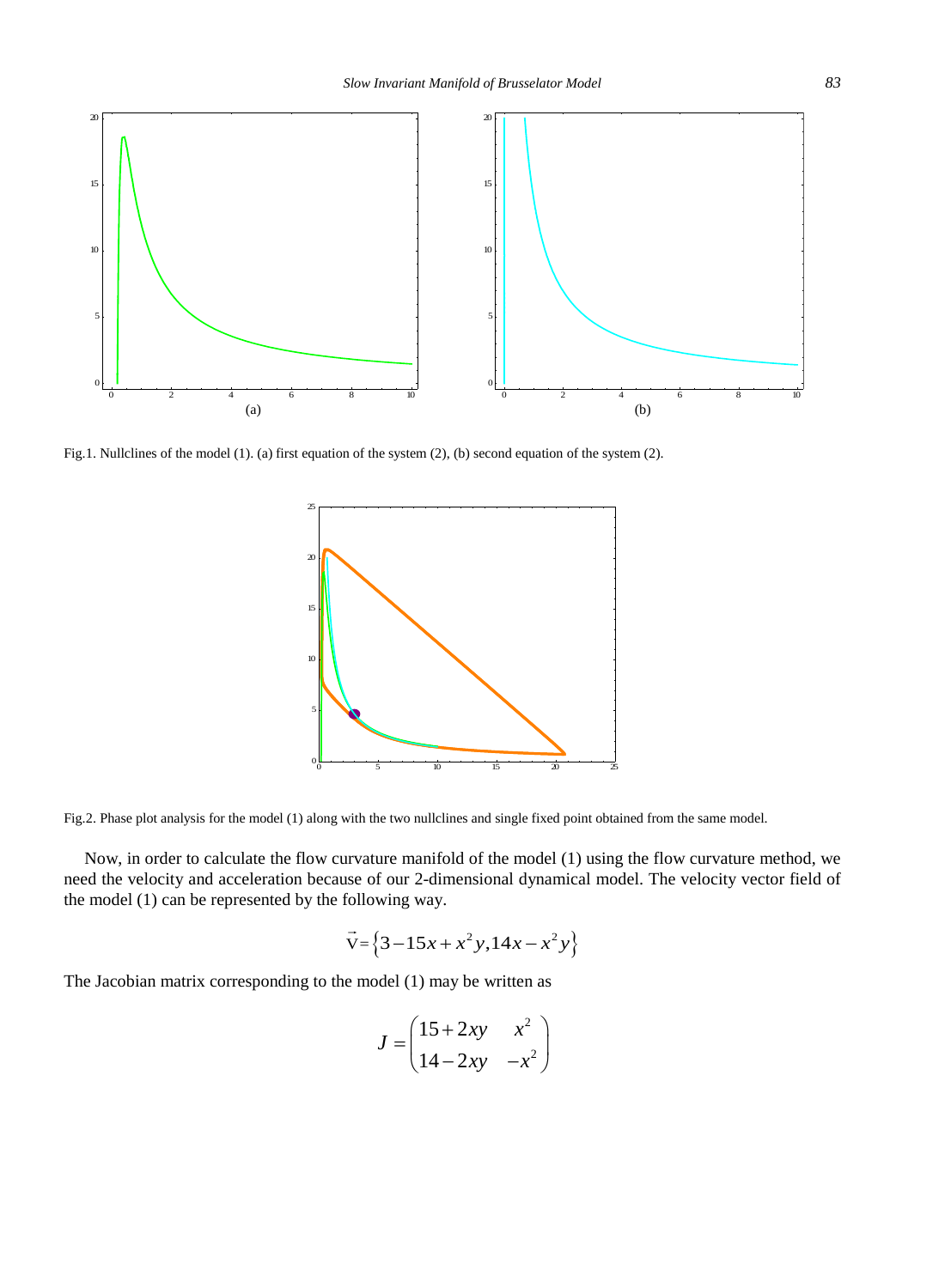

Fig.1. Nullclines of the model (1). (a) first equation of the system (2), (b) second equation of the system (2).



Fig.2. Phase plot analysis for the model (1) along with the two nullclines and single fixed point obtained from the same model.

Now, in order to calculate the flow curvature manifold of the model (1) using the flow curvature method, we need the velocity and acceleration because of our 2-dimensional dynamical model. The velocity vector field of the model (1) can be represented by the following way.

$$
\vec{v} = \left\{3 - 15x + x^2y, 14x - x^2y\right\}
$$

The Jacobian matrix corresponding to the model (1) may be written as

$$
J = \begin{pmatrix} 15 + 2xy & x^2 \\ 14 - 2xy & -x^2 \end{pmatrix}
$$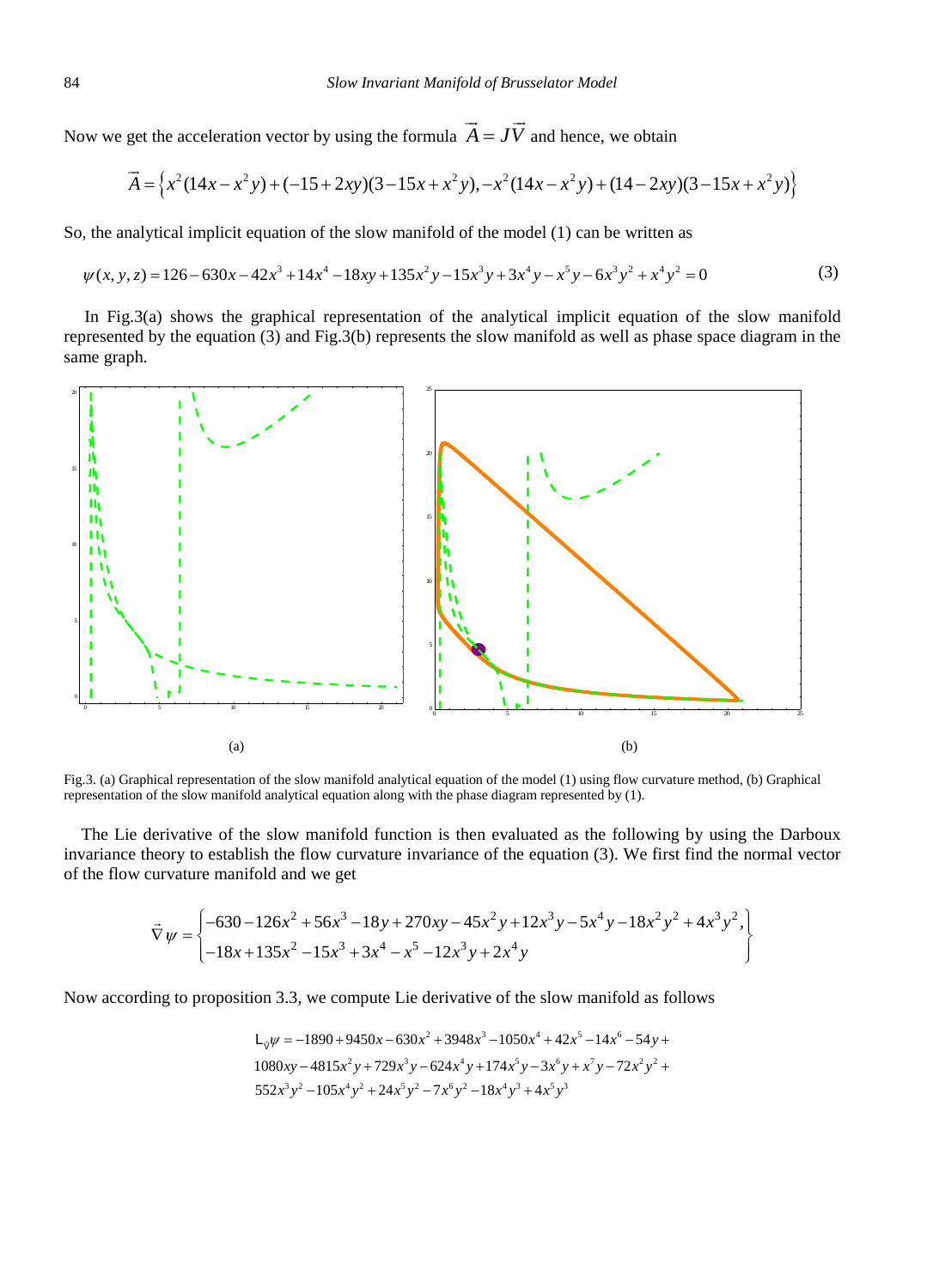Now we get the acceleration vector by using the formula  $A = JV$  $\overline{\phantom{a}}$ and hence, we obtain

$$
\vec{A} = \left\{ x^2 (14x - x^2y) + (-15 + 2xy)(3 - 15x + x^2y), -x^2 (14x - x^2y) + (14 - 2xy)(3 - 15x + x^2y) \right\}
$$

So, the analytical implicit equation of the slow manifold of the model (1) can be written as

$$
\psi(x, y, z) = 126 - 630x - 42x^3 + 14x^4 - 18xy + 135x^2y - 15x^3y + 3x^4y - x^5y - 6x^3y^2 + x^4y^2 = 0
$$
\n(3)

In Fig.3(a) shows the graphical representation of the analytical implicit equation of the slow manifold represented by the equation (3) and Fig.3(b) represents the slow manifold as well as phase space diagram in the same graph.



Fig.3. (a) Graphical representation of the slow manifold analytical equation of the model (1) using flow curvature method, (b) Graphical representation of the slow manifold analytical equation along with the phase diagram represented by (1).

The Lie derivative of the slow manifold function is then evaluated as the following by using the Darboux invariance theory to establish the flow curvature invariance of the equation (3). We first find the normal vector of the flow curvature manifold and we get

$$
\vec{\nabla}\psi = \begin{cases}\n-630 - 126x^2 + 56x^3 - 18y + 270xy - 45x^2y + 12x^3y - 5x^4y - 18x^2y^2 + 4x^3y^2, \\
-18x + 135x^2 - 15x^3 + 3x^4 - x^5 - 12x^3y + 2x^4y\n\end{cases}
$$

Now according to proposition 3.3, we compute Lie derivative of the slow manifold as follows

$$
L_{\overline{y}}\psi = -1890 + 9450x - 630x^2 + 3948x^3 - 1050x^4 + 42x^5 - 14x^6 - 54y + 1080xy - 4815x^2y + 729x^3y - 624x^4y + 174x^5y - 3x^6y + x^7y - 72x^2y^2 + 552x^3y^2 - 105x^4y^2 + 24x^5y^2 - 7x^6y^2 - 18x^4y^3 + 4x^5y^3
$$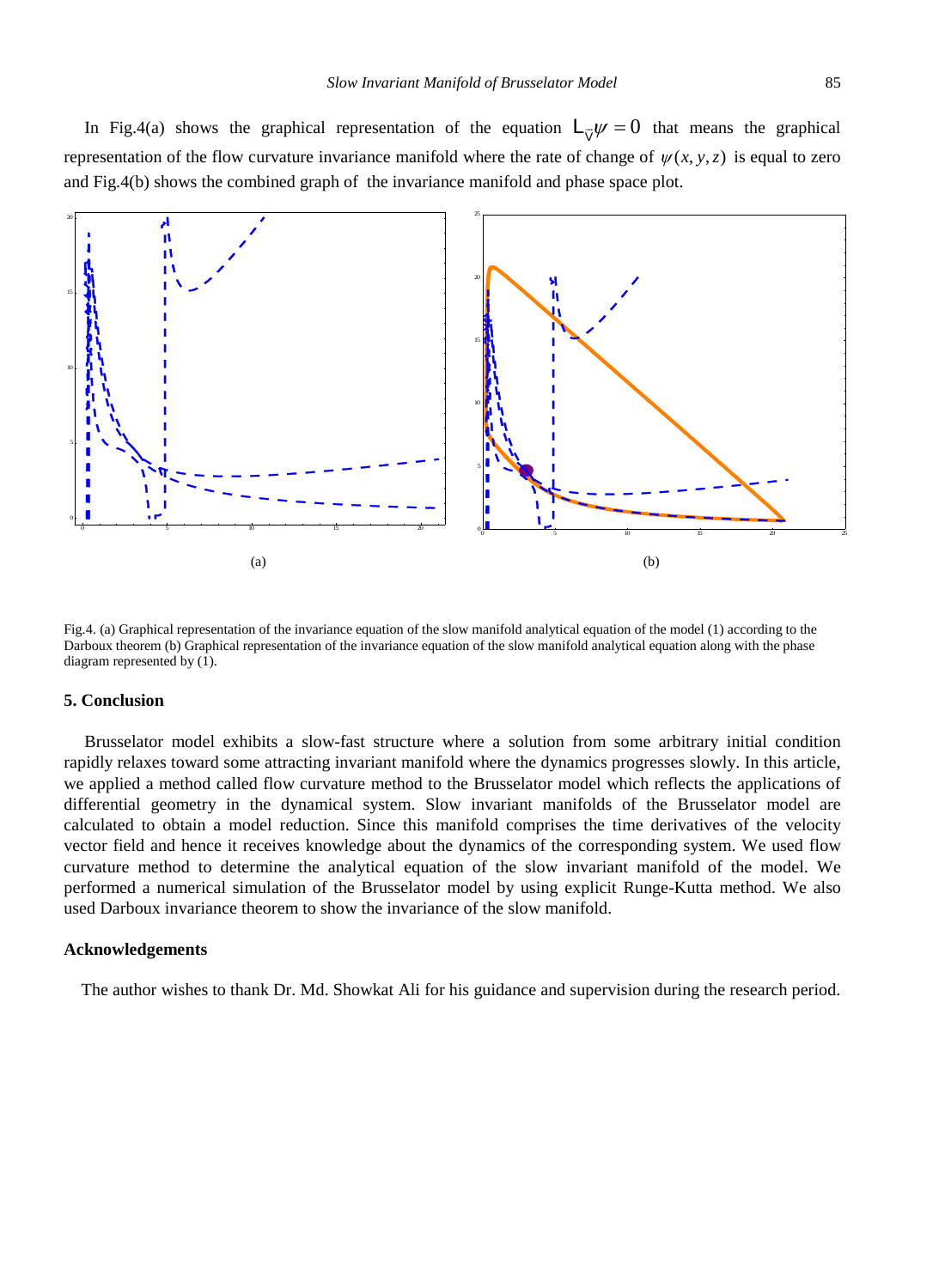

Fig.4. (a) Graphical representation of the invariance equation of the slow manifold analytical equation of the model (1) according to the Darboux theorem (b) Graphical representation of the invariance equation of the slow manifold analytical equation along with the phase diagram represented by  $(1)$ .

# **5. Conclusion**

Brusselator model exhibits a slow-fast structure where a solution from some arbitrary initial condition rapidly relaxes toward some attracting invariant manifold where the dynamics progresses slowly. In this article, we applied a method called flow curvature method to the Brusselator model which reflects the applications of differential geometry in the dynamical system. Slow invariant manifolds of the Brusselator model are calculated to obtain a model reduction. Since this manifold comprises the time derivatives of the velocity vector field and hence it receives knowledge about the dynamics of the corresponding system. We used flow curvature method to determine the analytical equation of the slow invariant manifold of the model. We performed a numerical simulation of the Brusselator model by using explicit Runge-Kutta method. We also used Darboux invariance theorem to show the invariance of the slow manifold.

## **Acknowledgements**

The author wishes to thank Dr. Md. Showkat Ali for his guidance and supervision during the research period.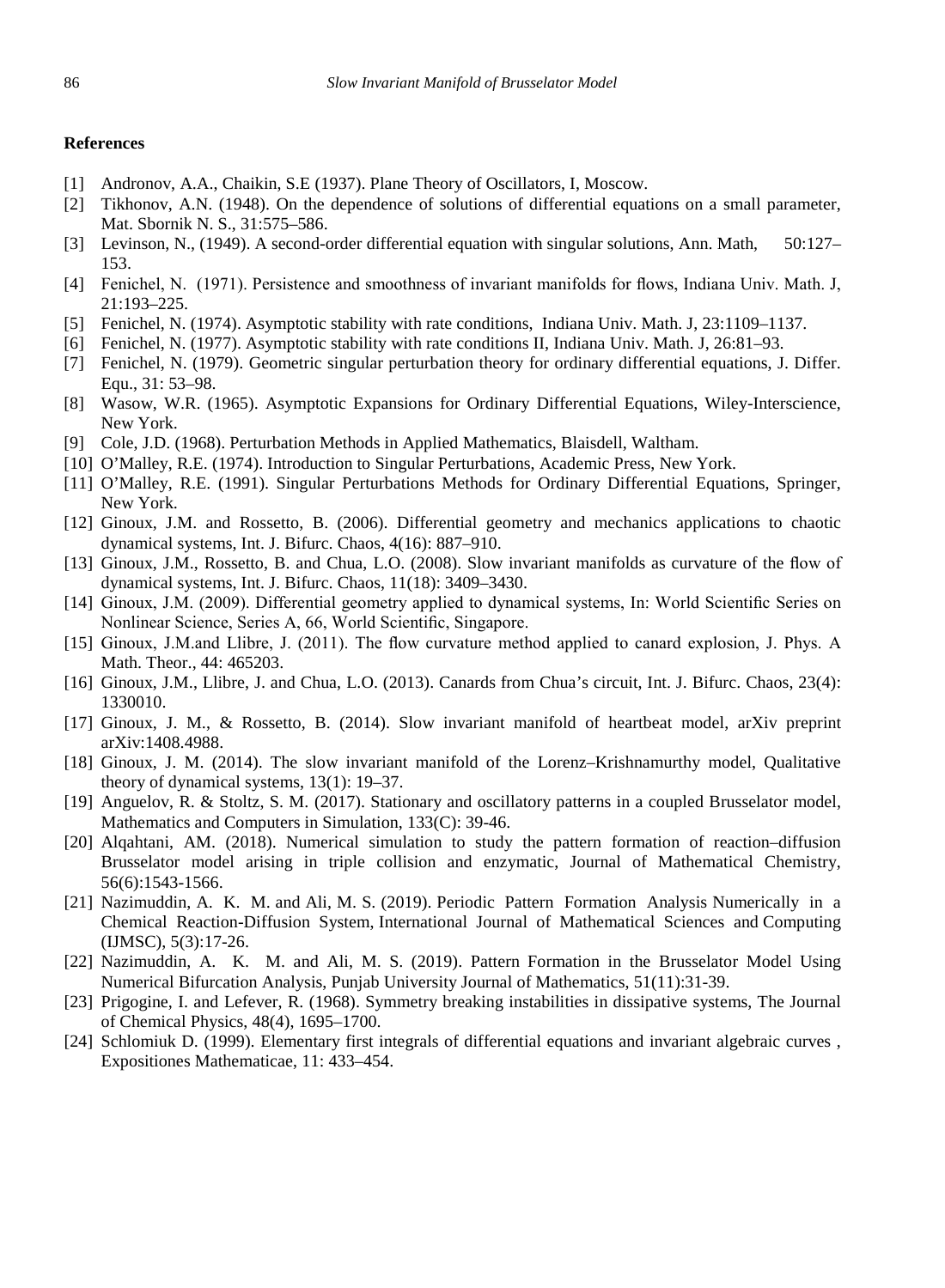## **References**

- [1] Andronov, A.A., Chaikin, S.E (1937). Plane Theory of Oscillators, I, Moscow.
- [2] Tikhonov, A.N. (1948). On the dependence of solutions of differential equations on a small parameter, Mat. Sbornik N. S., 31:575–586.
- [3] Levinson, N., (1949). A second-order differential equation with singular solutions, Ann. Math, 50:127– 153.
- [4] Fenichel, N. (1971). Persistence and smoothness of invariant manifolds for flows, Indiana Univ. Math. J, 21:193–225.
- [5] Fenichel, N. (1974). Asymptotic stability with rate conditions, Indiana Univ. Math. J, 23:1109–1137.
- [6] Fenichel, N. (1977). Asymptotic stability with rate conditions II, Indiana Univ. Math. J, 26:81–93.
- [7] Fenichel, N. (1979). Geometric singular perturbation theory for ordinary differential equations, J. Differ. Equ., 31: 53–98.
- [8] Wasow, W.R. (1965). Asymptotic Expansions for Ordinary Differential Equations, Wiley-Interscience, New York.
- [9] Cole, J.D. (1968). Perturbation Methods in Applied Mathematics, Blaisdell, Waltham.
- [10] O'Malley, R.E. (1974). Introduction to Singular Perturbations, Academic Press, New York.
- [11] O'Malley, R.E. (1991). Singular Perturbations Methods for Ordinary Differential Equations, Springer, New York.
- [12] Ginoux, J.M. and Rossetto, B. (2006). Differential geometry and mechanics applications to chaotic dynamical systems, Int. J. Bifurc. Chaos, 4(16): 887–910.
- [13] Ginoux, J.M., Rossetto, B. and Chua, L.O. (2008). Slow invariant manifolds as curvature of the flow of dynamical systems, Int. J. Bifurc. Chaos, 11(18): 3409–3430.
- [14] Ginoux, J.M. (2009). Differential geometry applied to dynamical systems, In: World Scientific Series on Nonlinear Science, Series A, 66, World Scientific, Singapore.
- [15] Ginoux, J.M.and Llibre, J. (2011). The flow curvature method applied to canard explosion, J. Phys. A Math. Theor., 44: 465203.
- [16] Ginoux, J.M., Llibre, J. and Chua, L.O. (2013). Canards from Chua's circuit, Int. J. Bifurc. Chaos, 23(4): 1330010.
- [17] Ginoux, J. M., & Rossetto, B. (2014). Slow invariant manifold of heartbeat model, arXiv preprint arXiv:1408.4988.
- [18] Ginoux, J. M. (2014). The slow invariant manifold of the Lorenz–Krishnamurthy model, Qualitative theory of dynamical systems, 13(1): 19–37.
- [19] Anguelov, R. & Stoltz, S. M. (2017). Stationary and oscillatory patterns in a coupled Brusselator model, Mathematics and Computers in Simulation, 133(C): 39-46.
- [20] Alqahtani, AM. (2018). Numerical simulation to study the pattern formation of reaction–diffusion Brusselator model arising in triple collision and enzymatic, Journal of Mathematical Chemistry, 56(6):1543-1566.
- [21] Nazimuddin, A. K. M. and Ali, M. S. (2019). Periodic Pattern Formation Analysis Numerically in a Chemical Reaction-Diffusion System, International Journal of Mathematical Sciences and Computing (IJMSC), 5(3):17-26.
- [22] Nazimuddin, A. K. M. and Ali, M. S. (2019). Pattern Formation in the Brusselator Model Using Numerical Bifurcation Analysis, Punjab University Journal of Mathematics, 51(11):31-39.
- [23] Prigogine, I. and Lefever, R. (1968). Symmetry breaking instabilities in dissipative systems, The Journal of Chemical Physics, 48(4), 1695–1700.
- [24] Schlomiuk D. (1999). Elementary first integrals of differential equations and invariant algebraic curves , Expositiones Mathematicae, 11: 433–454.